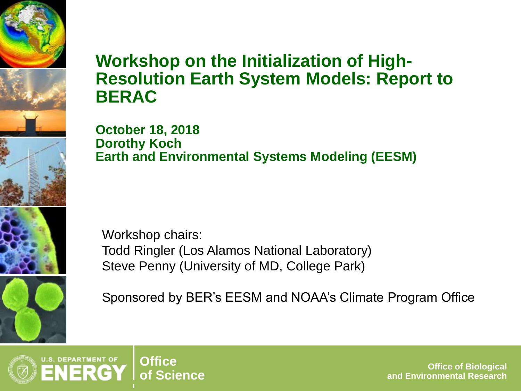#### **Workshop on the Initialization of High-Resolution Earth System Models: Report to BERAC**

**October 18, 2018 Dorothy Koch Earth and Environmental Systems Modeling (EESM)** 

 Steve Penny (University of MD, College Park) Workshop chairs: Todd Ringler (Los Alamos National Laboratory)

Sponsored by BER's EESM and NOAA's Climate Program Office



**Office of Biological of Science Office of Biological and Environmental Research**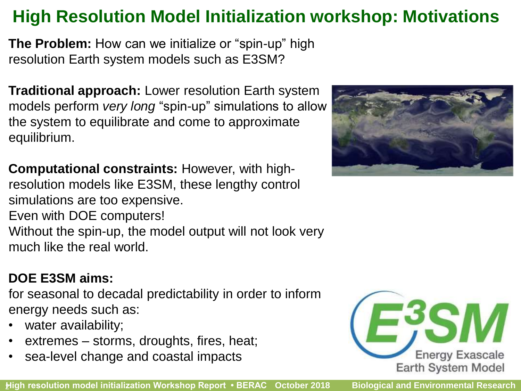## **High Resolution Model Initialization workshop: Motivations**

**The Problem:** How can we initialize or "spin-up" high resolution Earth system models such as E3SM?

**Traditional approach:** Lower resolution Earth system models perform *very long* "spin-up" simulations to allow the system to equilibrate and come to approximate equilibrium.

**Computational constraints:** However, with highresolution models like E3SM, these lengthy control simulations are too expensive.

 Even with DOE computers! Without the spin-up, the model output will not look very much like the real world.

#### **DOE E3SM aims:**

 for seasonal to decadal predictability in order to inform energy needs such as:

- water availability;
- extremes storms, droughts, fires, heat;
- sea-level change and coastal impacts



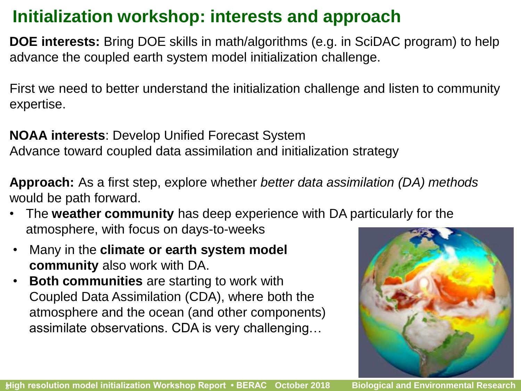## **Initialization workshop: interests and approach**

 **DOE interests:** Bring DOE skills in math/algorithms (e.g. in SciDAC program) to help advance the coupled earth system model initialization challenge.

 First we need to better understand the initialization challenge and listen to community expertise.

 Advance toward coupled data assimilation and initialization strategy **NOAA interests**: Develop Unified Forecast System

 would be path forward. **Approach:** As a first step, explore whether *better data assimilation (DA) methods* 

- • The **weather community** has deep experience with DA particularly for the atmosphere, with focus on days-to-weeks
- • Many in the **climate or earth system model community** also work with DA.
- **Both communities** are starting to work with Coupled Data Assimilation (CDA), where both the atmosphere and the ocean (and other components) assimilate observations. CDA is very challenging…

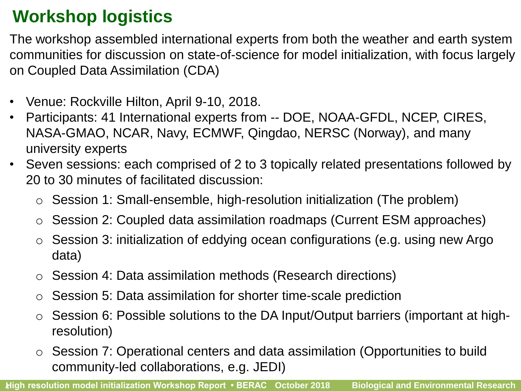## **Workshop logistics**

 The workshop assembled international experts from both the weather and earth system communities for discussion on state-of-science for model initialization, with focus largely on Coupled Data Assimilation (CDA)

- Venue: Rockville Hilton, April 9-10, 2018.
- Participants: 41 International experts from -- DOE, NOAA-GFDL, NCEP, CIRES, NASA-GMAO, NCAR, Navy, ECMWF, Qingdao, NERSC (Norway), and many university experts
- • Seven sessions: each comprised of 2 to 3 topically related presentations followed by 20 to 30 minutes of facilitated discussion:
	- o Session 1: Small-ensemble, high-resolution initialization (The problem)
	- o Session 2: Coupled data assimilation roadmaps (Current ESM approaches)
	- o Session 3: initialization of eddying ocean configurations (e.g. using new Argo data)
	- o Session 4: Data assimilation methods (Research directions)
	- o Session 5: Data assimilation for shorter time-scale prediction
	- $\circ$  Session 6: Possible solutions to the DA Input/Output barriers (important at highresolution)
	- o Session 7: Operational centers and data assimilation (Opportunities to build community-led collaborations, e.g. JEDI)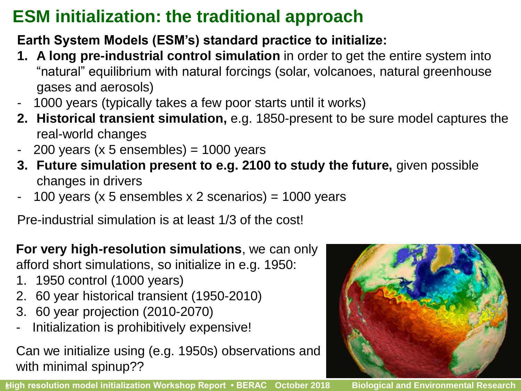## **ESM initialization: the traditional approach**

#### **Earth System Models (ESM's) standard practice to initialize:**

- **1. A long pre-industrial control simulation** in order to get the entire system into "natural" equilibrium with natural forcings (solar, volcanoes, natural greenhouse gases and aerosols)
- 1000 years (typically takes a few poor starts until it works)
- **2. Historical transient simulation,** e.g. 1850-present to be sure model captures the real-world changes
- $200$  years (x 5 ensembles) = 1000 years
- **3. Future simulation present to e.g. 2100 to study the future,** given possible changes in drivers
- 100 years (x 5 ensembles x 2 scenarios) =  $1000$  years

Pre-industrial simulation is at least 1/3 of the cost!

#### **For very high-resolution simulations**, we can only afford short simulations, so initialize in e.g. 1950:

- 1. 1950 control (1000 years)
- 2. 60 year historical transient (1950-2010)
- 3. 60 year projection (2010-2070)
- Initialization is prohibitively expensive!

Can we initialize using (e.g. 1950s) observations and with minimal spinup??

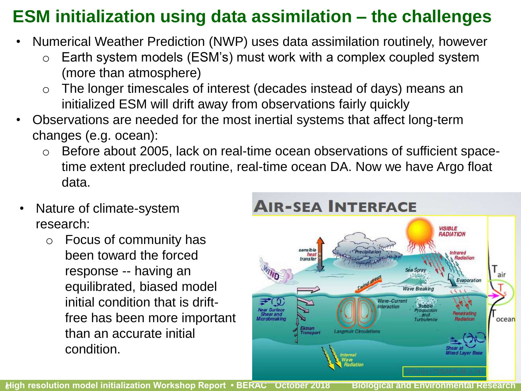## **ESM initialization using data assimilation – the challenges**

- Numerical Weather Prediction (NWP) uses data assimilation routinely, however
	- $\circ$  Earth system models (ESM's) must work with a complex coupled system (more than atmosphere)
	- o The longer timescales of interest (decades instead of days) means an initialized ESM will drift away from observations fairly quickly
- Observations are needed for the most inertial systems that affect long-term changes (e.g. ocean):
	- time extent precluded routine, real-time ocean DA. Now we have Argo float o Before about 2005, lack on real-time ocean observations of sufficient spacedata.
- Nature of climate-system research:
	- been toward the forced free has been more important o Focus of community has response -- having an equilibrated, biased model initial condition that is driftthan an accurate initial condition.



 **- -** 6 **High resolution model initialization Workshop Report • BERAC October 2018 Biological and Environmental Research**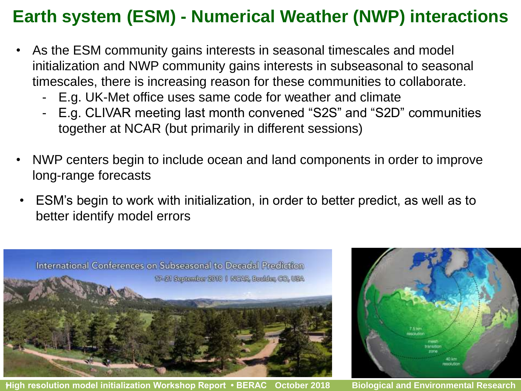### **Earth system (ESM) - Numerical Weather (NWP) interactions**

- • As the ESM community gains interests in seasonal timescales and model timescales, there is increasing reason for these communities to collaborate. initialization and NWP community gains interests in subseasonal to seasonal
	- E.g. UK-Met office uses same code for weather and climate
	- together at NCAR (but primarily in different sessions) - E.g. CLIVAR meeting last month convened "S2S" and "S2D" communities
- • NWP centers begin to include ocean and land components in order to improve long-range forecasts
- better identify model errors • ESM's begin to work with initialization, in order to better predict, as well as to



 **- -** 7 **High resolution model initialization Workshop Report • BERAC October 2018 Biological and Environmental Research** 

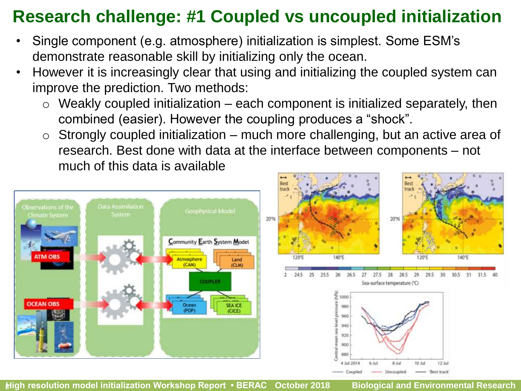## **Research challenge: #1 Coupled vs uncoupled initialization**

- demonstrate reasonable skill by initializing only the ocean. • Single component (e.g. atmosphere) initialization is simplest. Some ESM's
- However it is increasingly clear that using and initializing the coupled system can improve the prediction. Two methods:
	- $\circ$  Weakly coupled initialization each component is initialized separately, then combined (easier). However the coupling produces a "shock".
	- $\circ$  Strongly coupled initialization much more challenging, but an active area of research. Best done with data at the interface between components – not much of this data is available





 **- -** 8 **High resolution model initialization Workshop Report • BERAC October 2018 Biological and Environmental Research**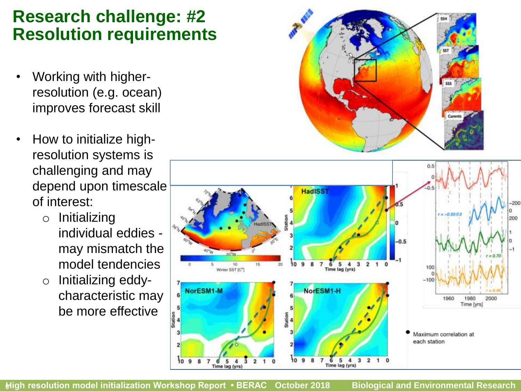#### **Research challenge: #2 Resolution requirements**

- Working with higherresolution (e.g. ocean) improves forecast skill
- challenging and may depend upon timescale • How to initialize highresolution systems is of interest:
	- o Initializing individual eddies may mismatch the model tendencies
	- o Initializing eddycharacteristic may be more effective





 **- -** 9 **High resolution model initialization Workshop Report • BERAC October 2018 Biological and Environmental Research**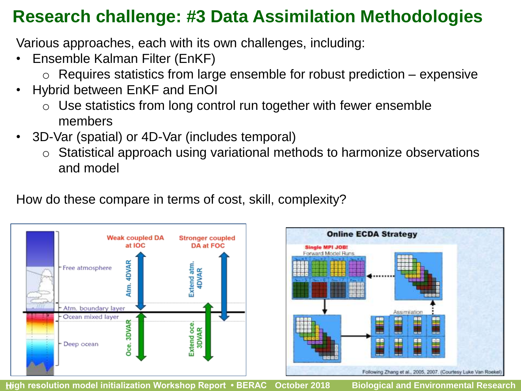#### **Research challenge: #3 Data Assimilation Methodologies**

Various approaches, each with its own challenges, including:

- Ensemble Kalman Filter (EnKF)
	- $\circ$  Requires statistics from large ensemble for robust prediction expensive
- Hybrid between EnKF and EnOI
	- $\circ$  Use statistics from long control run together with fewer ensemble members
- 3D-Var (spatial) or 4D-Var (includes temporal)
	- o Statistical approach using variational methods to harmonize observations and model

How do these compare in terms of cost, skill, complexity?



 **- -** 10 **High resolution model initialization Workshop Report • BERAC October 2018 Biological and Environmental Research**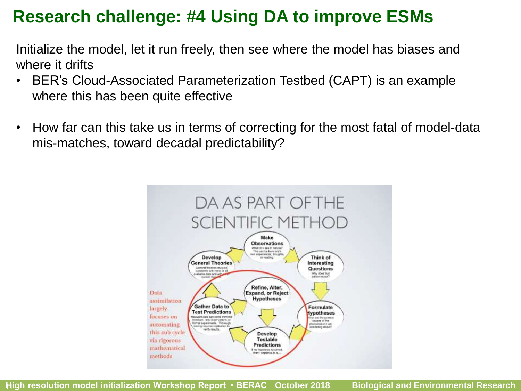#### **Research challenge: #4 Using DA to improve ESMs**

Initialize the model, let it run freely, then see where the model has biases and where it drifts

- where this has been quite effective • BER's Cloud-Associated Parameterization Testbed (CAPT) is an example
- • How far can this take us in terms of correcting for the most fatal of model-data mis-matches, toward decadal predictability?

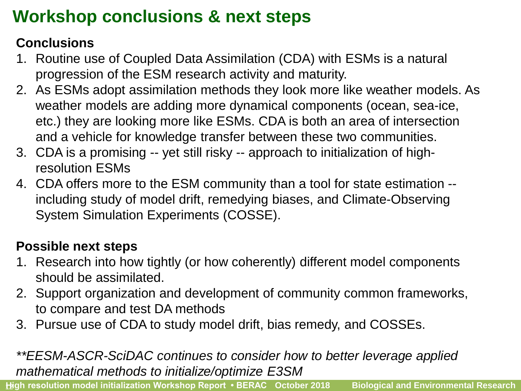## **Workshop conclusions & next steps**

#### **Conclusions**

- progression of the ESM research activity and maturity. 1. Routine use of Coupled Data Assimilation (CDA) with ESMs is a natural
- etc.) they are looking more like ESMs. CDA is both an area of intersection 2. As ESMs adopt assimilation methods they look more like weather models. As weather models are adding more dynamical components (ocean, sea-ice, and a vehicle for knowledge transfer between these two communities.
- 3. CDA is a promising -- yet still risky -- approach to initialization of highresolution ESMs
- including study of model drift, remedying biases, and Climate-Observing 4. CDA offers more to the ESM community than a tool for state estimation -- System Simulation Experiments (COSSE).

#### **Possible next steps**

- 1. Research into how tightly (or how coherently) different model components should be assimilated.
- 2. Support organization and development of community common frameworks, to compare and test DA methods
- 3. Pursue use of CDA to study model drift, bias remedy, and COSSEs.

#### *\*\*EESM-ASCR-SciDAC continues to consider how to better leverage applied mathematical methods to initialize/optimize E3SM*